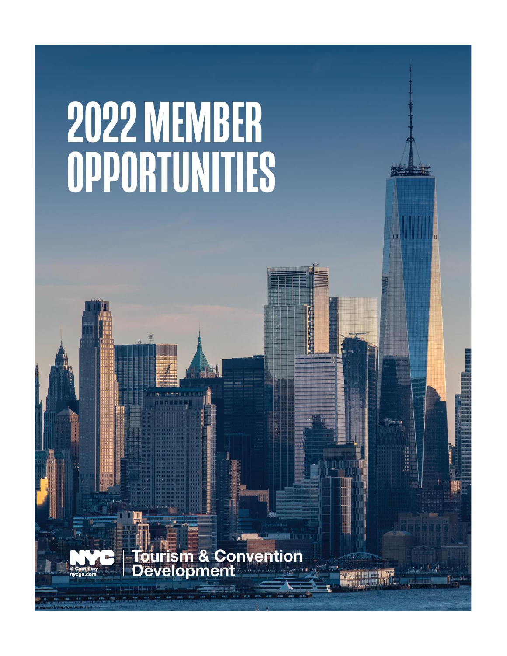# **2022 MEMBER** OPPORTUNITIES

urism & Convention<br>velopment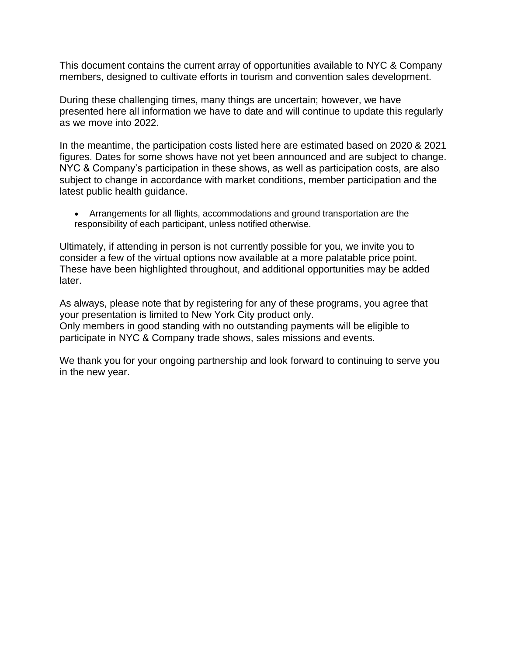This document contains the current array of opportunities available to NYC & Company members, designed to cultivate efforts in tourism and convention sales development.

During these challenging times, many things are uncertain; however, we have presented here all information we have to date and will continue to update this regularly as we move into 2022.

In the meantime, the participation costs listed here are estimated based on 2020 & 2021 figures. Dates for some shows have not yet been announced and are subject to change. NYC & Company's participation in these shows, as well as participation costs, are also subject to change in accordance with market conditions, member participation and the latest public health guidance.

• Arrangements for all flights, accommodations and ground transportation are the responsibility of each participant, unless notified otherwise.

Ultimately, if attending in person is not currently possible for you, we invite you to consider a few of the virtual options now available at a more palatable price point. These have been highlighted throughout, and additional opportunities may be added later.

As always, please note that by registering for any of these programs, you agree that your presentation is limited to New York City product only. Only members in good standing with no outstanding payments will be eligible to participate in NYC & Company trade shows, sales missions and events.

We thank you for your ongoing partnership and look forward to continuing to serve you in the new year.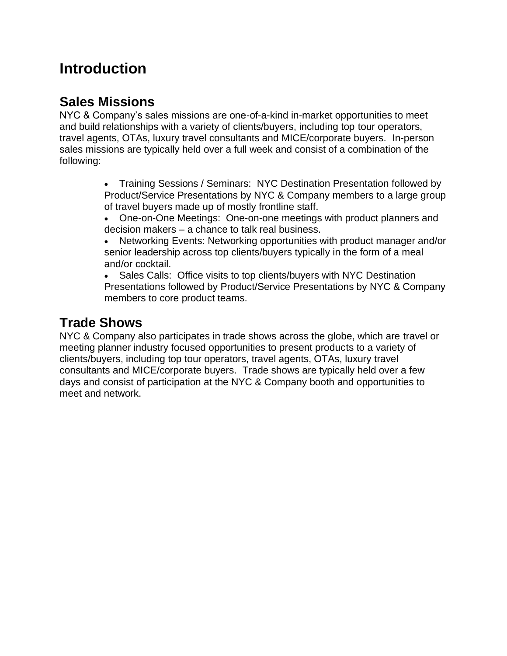### **Introduction**

### **Sales Missions**

NYC & Company's sales missions are one-of-a-kind in-market opportunities to meet and build relationships with a variety of clients/buyers, including top tour operators, travel agents, OTAs, luxury travel consultants and MICE/corporate buyers. In-person sales missions are typically held over a full week and consist of a combination of the following:

> • Training Sessions / Seminars: NYC Destination Presentation followed by Product/Service Presentations by NYC & Company members to a large group of travel buyers made up of mostly frontline staff.

- One-on-One Meetings: One-on-one meetings with product planners and decision makers – a chance to talk real business.
- Networking Events: Networking opportunities with product manager and/or senior leadership across top clients/buyers typically in the form of a meal and/or cocktail.

• Sales Calls: Office visits to top clients/buyers with NYC Destination Presentations followed by Product/Service Presentations by NYC & Company members to core product teams.

### **Trade Shows**

NYC & Company also participates in trade shows across the globe, which are travel or meeting planner industry focused opportunities to present products to a variety of clients/buyers, including top tour operators, travel agents, OTAs, luxury travel consultants and MICE/corporate buyers. Trade shows are typically held over a few days and consist of participation at the NYC & Company booth and opportunities to meet and network.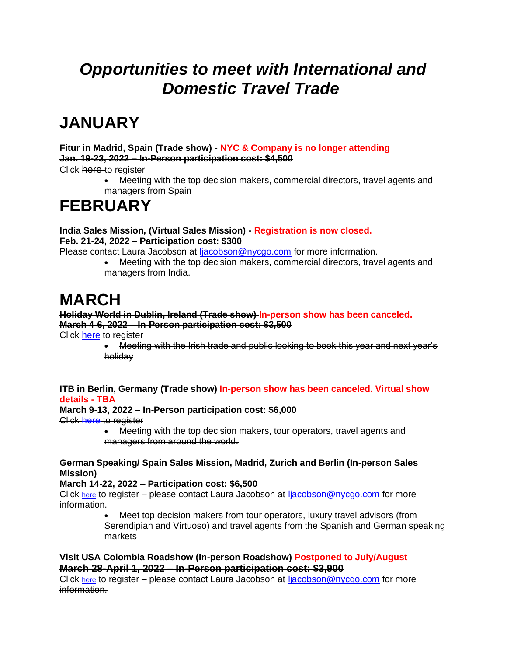# *Opportunities to meet with International and Domestic Travel Trade*

# **JANUARY**

**Fitur in Madrid, Spain (Trade show) - NYC & Company is no longer attending Jan. 19-23, 2022 – In-Person participation cost: \$4,500**

Click here to register

• Meeting with the top decision makers, commercial directors, travel agents and managers from Spain

# **FEBRUARY**

**India Sales Mission, (Virtual Sales Mission) - Registration is now closed. Feb. 21-24, 2022 – Participation cost: \$300** 

Please contact Laura Jacobson at [ljacobson@nycgo.com](mailto:ljacobson@nycgo.com) for more information.

• Meeting with the top decision makers, commercial directors, travel agents and managers from India.

# **MARCH**

### **Holiday World in Dublin, Ireland (Trade show) In-person show has been canceled. March 4-6, 2022 – In-Person participation cost: \$3,500**

Click [here](http://newyorkcity.simpleviewinc.com/rsvp/?action=details&noredirect=1&eventId=1354) to register

• Meeting with the Irish trade and public looking to book this year and next year's holiday

### **ITB in Berlin, Germany (Trade show) In-person show has been canceled. Virtual show details - TBA**

### **March 9-13, 2022 – In-Person participation cost: \$6,000**

Click [here](http://newyorkcity.simpleviewinc.com/rsvp/?action=details&noredirect=1&eventId=1356) to register

• Meeting with the top decision makers, tour operators, travel agents and managers from around the world.

### **German Speaking/ Spain Sales Mission, Madrid, Zurich and Berlin (In-person Sales Mission)**

### **March 14-22, 2022 – Participation cost: \$6,500**

Click [here](http://newyorkcity.simpleviewinc.com/rsvp/?action=details&noredirect=1&eventId=1376) to register – please contact Laura Jacobson at [ljacobson@nycgo.com](mailto:ljacobson@nycgo.com) for more information.

Meet top decision makers from tour operators, luxury travel advisors (from Serendipian and Virtuoso) and travel agents from the Spanish and German speaking markets

### **Visit USA Colombia Roadshow (In-person Roadshow) Postponed to July/August March 28-April 1, 2022 – In-Person participation cost: \$3,900**

Click [here](http://newyorkcity.simpleviewinc.com/rsvp/?action=details&noredirect=1&eventId=1368) to register – please contact Laura Jacobson at [ljacobson@nycgo.com](mailto:ljacobson@nycgo.com) for more information.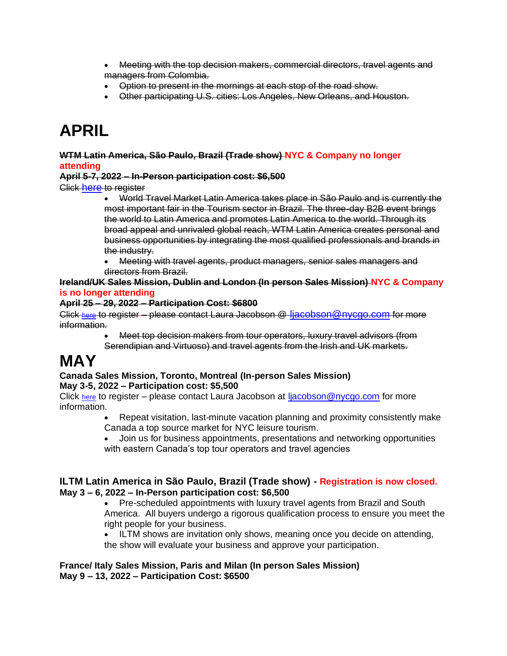- Meeting with the top decision makers, commercial directors, travel agents and managers from Colombia.
- Option to present in the mornings at each stop of the road show.
- Other participating U.S. cities: Los Angeles, New Orleans, and Houston.

# **APRIL**

### **WTM Latin America, São Paulo, Brazil (Trade show) NYC & Company no longer attending**

### **April 5-7, 2022 – In-Person participation cost: \$6,500**

Click [here](http://newyorkcity.simpleviewinc.com/rsvp/?action=details&noredirect=1&eventId=1355) to register

- World Travel Market Latin America takes place in São Paulo and is currently the most important fair in the Tourism sector in Brazil. The three-day B2B event brings the world to Latin America and promotes Latin America to the world. Through its broad appeal and unrivaled global reach, WTM Latin America creates personal and business opportunities by integrating the most qualified professionals and brands in the industry.
- Meeting with travel agents, product managers, senior sales managers and directors from Brazil.

### **Ireland/UK Sales Mission, Dublin and London (In person Sales Mission) NYC & Company is no longer attending**

### **April 25 – 29, 2022 – Participation Cost: \$6800**

Click [here](http://newyorkcity.simpleviewinc.com/rsvp/?action=details&noredirect=1&eventId=1377) to register – please contact Laura Jacobson @ ljacobson @nycgo.com for more information.

• Meet top decision makers from tour operators, luxury travel advisors (from Serendipian and Virtuoso) and travel agents from the Irish and UK markets.

# **MAY**

### **Canada Sales Mission, Toronto, Montreal (In-person Sales Mission) May 3-5, 2022 – Participation cost: \$5,500**

Click [here](http://newyorkcity.simpleviewinc.com/rsvp/?action=details&noredirect=1&eventId=1370) to register – please contact Laura Jacobson at [ljacobson@nycgo.com](mailto:ljacobson@nycgo.com) for more information.

- Repeat visitation, last-minute vacation planning and proximity consistently make Canada a top source market for NYC leisure tourism.
- Join us for business appointments, presentations and networking opportunities with eastern Canada's top tour operators and travel agencies

### **ILTM Latin America in São Paulo, Brazil (Trade show) - Registration is now closed. May 3 – 6, 2022 – In-Person participation cost: \$6,500**

• Pre-scheduled appointments with luxury travel agents from Brazil and South America. All buyers undergo a rigorous qualification process to ensure you meet the right people for your business.

• ILTM shows are invitation only shows, meaning once you decide on attending, the show will evaluate your business and approve your participation.

### **France/ Italy Sales Mission, Paris and Milan (In person Sales Mission) May 9 – 13, 2022 – Participation Cost: \$6500**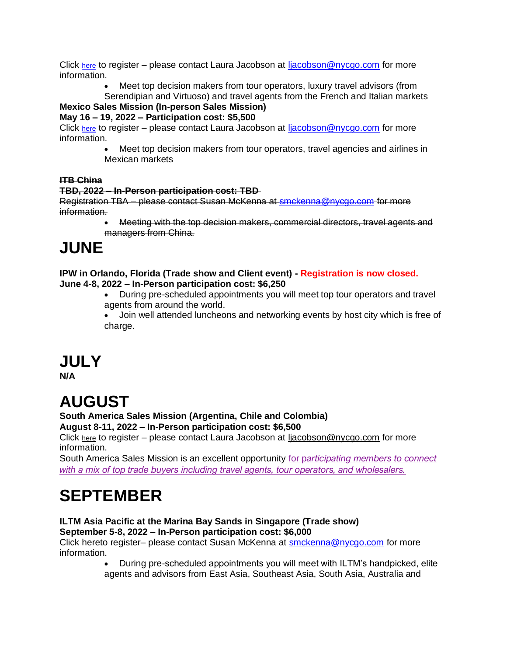Click [here](http://newyorkcity.simpleviewinc.com/rsvp/?action=details&noredirect=1&eventId=1378) to register – please contact Laura Jacobson at [ljacobson@nycgo.com](mailto:ljacobson@nycgo.com) for more information.

• Meet top decision makers from tour operators, luxury travel advisors (from

Serendipian and Virtuoso) and travel agents from the French and Italian markets

### **Mexico Sales Mission (In-person Sales Mission)**

### **May 16 – 19, 2022 – Participation cost: \$5,500**

Click [here](http://newyorkcity.simpleviewinc.com/rsvp/?action=details&noredirect=1&eventId=1385) to register – please contact Laura Jacobson at [ljacobson@nycgo.com](mailto:ljacobson@nycgo.com) for more information.

• Meet top decision makers from tour operators, travel agencies and airlines in Mexican markets

### **ITB China**

### **TBD, 2022 – In-Person participation cost: TBD**

Registration TBA – please contact Susan McKenna at [smckenna@nycgo.com](mailto:smckenna@nycgo.com) for more information.

> • Meeting with the top decision makers, commercial directors, travel agents and managers from China.

# **JUNE**

**IPW in Orlando, Florida (Trade show and Client event) - Registration is now closed. June 4-8, 2022 – In-Person participation cost: \$6,250**

• During pre-scheduled appointments you will meet top tour operators and travel agents from around the world.

• Join well attended luncheons and networking events by host city which is free of charge.

### **JULY**

**N/A**

# **AUGUST**

### **South America Sales Mission (Argentina, Chile and Colombia)**

**August 8-11, 2022 – In-Person participation cost: \$6,500**

Click [here](http://newyorkcity.simpleviewinc.com/rsvp/?action=details&noredirect=1&eventId=1388) to register – please contact Laura Jacobson at [ljacobson@nycgo.com](mailto:ljacobson@nycgo.com) for more information.

South America Sales Mission is an excellent opportunity for p*articipating members to connect with a mix of top trade buyers including travel agents, tour operators, and wholesalers.*

# **SEPTEMBER**

### **ILTM Asia Pacific at the Marina Bay Sands in Singapore (Trade show) September 5-8, 2022 – In-Person participation cost: \$6,000**

Click hereto register– please contact Susan McKenna at [smckenna@nycgo.com](mailto:smckenna@nycgo.com) for more information.

> • During pre-scheduled appointments you will meet with ILTM's handpicked, elite agents and advisors from East Asia, Southeast Asia, South Asia, Australia and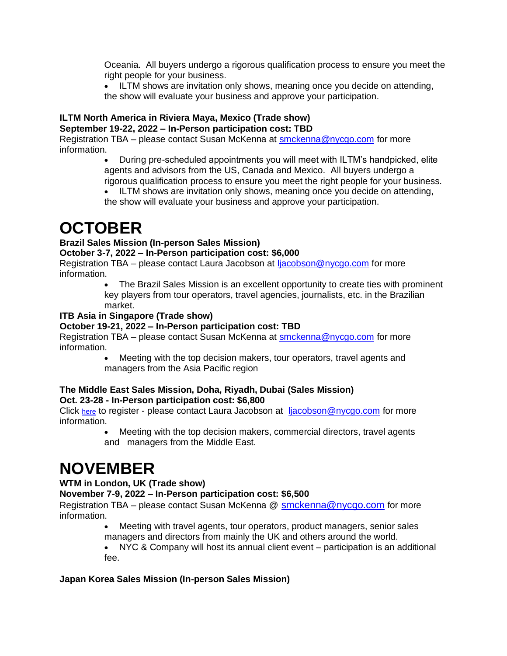Oceania. All buyers undergo a rigorous qualification process to ensure you meet the right people for your business.

• ILTM shows are invitation only shows, meaning once you decide on attending, the show will evaluate your business and approve your participation.

#### **ILTM North America in Riviera Maya, Mexico (Trade show) September 19-22, 2022 – In-Person participation cost: TBD**

Registration TBA – please contact Susan McKenna at [smckenna@nycgo.com](mailto:smckenna@nycgo.com) for more information.

- During pre-scheduled appointments you will meet with ILTM's handpicked, elite agents and advisors from the US, Canada and Mexico. All buyers undergo a rigorous qualification process to ensure you meet the right people for your business.
- ILTM shows are invitation only shows, meaning once you decide on attending,

the show will evaluate your business and approve your participation.

### **OCTOBER**

### **Brazil Sales Mission (In-person Sales Mission)**

### **October 3-7, 2022 – In-Person participation cost: \$6,000**

Registration TBA – please contact Laura Jacobson at [ljacobson@nycgo.com](mailto:ljacobson@nycgo.com) for more information.

> • The Brazil Sales Mission is an excellent opportunity to create ties with prominent key players from tour operators, travel agencies, journalists, etc. in the Brazilian market.

### **ITB Asia in Singapore (Trade show)**

### **October 19-21, 2022 – In-Person participation cost: TBD**

Registration TBA – please contact Susan McKenna at [smckenna@nycgo.com](mailto:smckenna@nycgo.com) for more information.

> • Meeting with the top decision makers, tour operators, travel agents and managers from the Asia Pacific region

### **The Middle East Sales Mission, Doha, Riyadh, Dubai (Sales Mission) Oct. 23-28 - In-Person participation cost: \$6,800**

Click [here](http://newyorkcity.simpleviewinc.com/rsvp/?action=details&noredirect=1&eventId=1367) to register - please contact Laura Jacobson at [ljacobson@nycgo.com](mailto:ljacobson@nycgo.com) for more information.

> • Meeting with the top decision makers, commercial directors, travel agents and managers from the Middle East.

# **NOVEMBER**

### **WTM in London, UK (Trade show)**

### **November 7-9, 2022 – In-Person participation cost: \$6,500**

Registration TBA – please contact Susan McKenna @ [smckenna@nycgo.com](mailto:smckenna@nycgo.com) for more information.

• Meeting with travel agents, tour operators, product managers, senior sales managers and directors from mainly the UK and others around the world.

• NYC & Company will host its annual client event – participation is an additional fee.

### **Japan Korea Sales Mission (In-person Sales Mission)**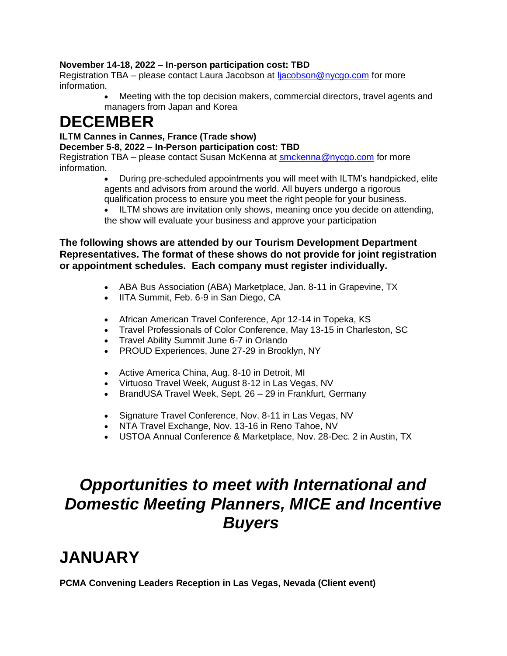### **November 14-18, 2022 – In-person participation cost: TBD**

Registration TBA – please contact Laura Jacobson at [ljacobson@nycgo.com](mailto:ljacobson@nycgo.com) for more information.

> • Meeting with the top decision makers, commercial directors, travel agents and managers from Japan and Korea

### **DECEMBER**

### **ILTM Cannes in Cannes, France (Trade show)**

**December 5-8, 2022 – In-Person participation cost: TBD**

Registration TBA – please contact Susan McKenna at [smckenna@nycgo.com](mailto:smckenna@nycgo.com) for more information.

• During pre-scheduled appointments you will meet with ILTM's handpicked, elite agents and advisors from around the world. All buyers undergo a rigorous qualification process to ensure you meet the right people for your business.

• ILTM shows are invitation only shows, meaning once you decide on attending, the show will evaluate your business and approve your participation

### **The following shows are attended by our Tourism Development Department Representatives. The format of these shows do not provide for joint registration or appointment schedules. Each company must register individually.**

- ABA Bus Association (ABA) Marketplace, Jan. 8-11 in Grapevine, TX
- IITA Summit, Feb. 6-9 in San Diego, CA
- African American Travel Conference, Apr 12-14 in Topeka, KS
- Travel Professionals of Color Conference, May 13-15 in Charleston, SC
- Travel Ability Summit June 6-7 in Orlando
- PROUD Experiences, June 27-29 in Brooklyn, NY
- Active America China, Aug. 8-10 in Detroit, MI
- Virtuoso Travel Week, August 8-12 in Las Vegas, NV
- BrandUSA Travel Week, Sept. 26 29 in Frankfurt, Germany
- Signature Travel Conference, Nov. 8-11 in Las Vegas, NV
- NTA Travel Exchange, Nov. 13-16 in Reno Tahoe, NV
- USTOA Annual Conference & Marketplace, Nov. 28-Dec. 2 in Austin, TX

# *Opportunities to meet with International and Domestic Meeting Planners, MICE and Incentive Buyers*

# **JANUARY**

**PCMA Convening Leaders Reception in Las Vegas, Nevada (Client event)**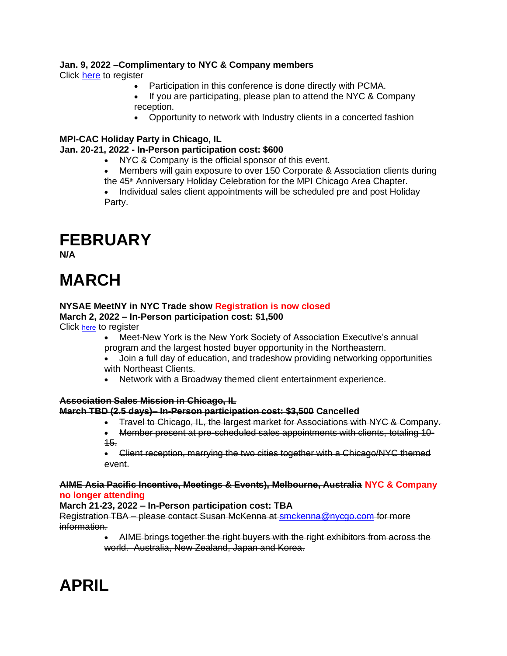### **Jan. 9, 2022 –Complimentary to NYC & Company members**

Click [here](https://pcmaclientevent2022.splashthat.com/) to register

- Participation in this conference is done directly with PCMA.
- If you are participating, please plan to attend the NYC & Company reception.
- Opportunity to network with Industry clients in a concerted fashion

### **MPI-CAC Holiday Party in Chicago, IL**

### **Jan. 20-21, 2022 - In-Person participation cost: \$600**

- NYC & Company is the official sponsor of this event.
- Members will gain exposure to over 150 Corporate & Association clients during the 45<sup>th</sup> Anniversary Holiday Celebration for the MPI Chicago Area Chapter.

• Individual sales client appointments will be scheduled pre and post Holiday Party.

### **FEBRUARY**

**N/A**

# **MARCH**

### **NYSAE MeetNY in NYC Trade show Registration is now closed**

### **March 2, 2022 – In-Person participation cost: \$1,500**

Click [here](http://newyorkcity.simpleviewinc.com/rsvp/?action=details&noredirect=1&eventId=1363) to register

- Meet-New York is the New York Society of Association Executive's annual program and the largest hosted buyer opportunity in the Northeastern.
- Join a full day of education, and tradeshow providing networking opportunities with Northeast Clients.
- Network with a Broadway themed client entertainment experience.

### **Association Sales Mission in Chicago, IL**

### **March TBD (2.5 days)– In-Person participation cost: \$3,500 Cancelled**

- Travel to Chicago, IL, the largest market for Associations with NYC & Company.
- Member present at pre-scheduled sales appointments with clients, totaling 10- 15.
- Client reception, marrying the two cities together with a Chicago/NYC themed event.

#### **AIME Asia Pacific Incentive, Meetings & Events), Melbourne, Australia NYC & Company no longer attending**

### **March 21-23, 2022 – In-Person participation cost: TBA**

Registration TBA – please contact Susan McKenna at [smckenna@nycgo.com](mailto:smckenna@nycgo.com) for more information.

> • AIME brings together the right buyers with the right exhibitors from across the world. Australia, New Zealand, Japan and Korea.

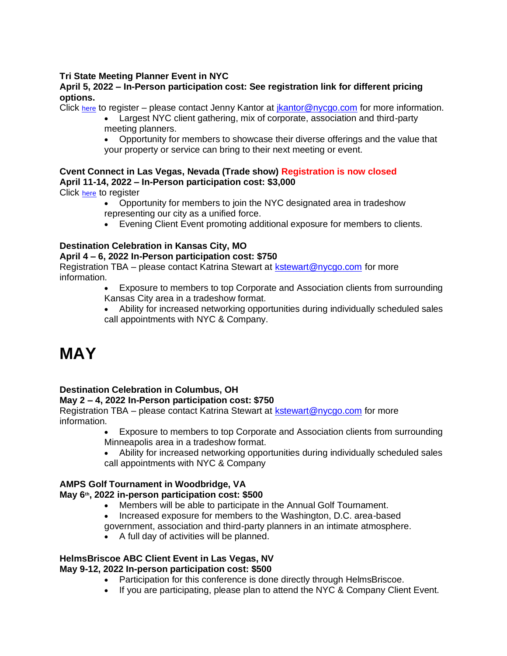### **Tri State Meeting Planner Event in NYC**

### **April 5, 2022 – In-Person participation cost: See registration link for different pricing options.**

Click [here](http://newyorkcity.simpleviewinc.com/rsvp/?action=details&noredirect=1&eventId=1379) to register – please contact Jenny Kantor at [jkantor@nycgo.com](mailto:jkantor@nycgo.com) for more information.

• Largest NYC client gathering, mix of corporate, association and third-party meeting planners.

• Opportunity for members to showcase their diverse offerings and the value that your property or service can bring to their next meeting or event.

### **Cvent Connect in Las Vegas, Nevada (Trade show) Registration is now closed April 11-14, 2022 – In-Person participation cost: \$3,000**

Click [here](http://newyorkcity.simpleviewinc.com/rsvp/?action=details&noredirect=1&eventId=1365) to register

- Opportunity for members to join the NYC designated area in tradeshow representing our city as a unified force.
- Evening Client Event promoting additional exposure for members to clients.

### **Destination Celebration in Kansas City, MO**

### **April 4 – 6, 2022 In-Person participation cost: \$750**

Registration TBA – please contact Katrina Stewart at [kstewart@nycgo.com](mailto:kstewart@nycgo.com) for more information.

- Exposure to members to top Corporate and Association clients from surrounding Kansas City area in a tradeshow format.
- Ability for increased networking opportunities during individually scheduled sales call appointments with NYC & Company.

# **MAY**

### **Destination Celebration in Columbus, OH**

### **May 2 – 4, 2022 In-Person participation cost: \$750**

Registration TBA – please contact Katrina Stewart at [kstewart@nycgo.com](mailto:kstewart@nycgo.com) for more information.

- Exposure to members to top Corporate and Association clients from surrounding Minneapolis area in a tradeshow format.
- Ability for increased networking opportunities during individually scheduled sales call appointments with NYC & Company

### **AMPS Golf Tournament in Woodbridge, VA**

### **May 6th, 2022 in-person participation cost: \$500**

- Members will be able to participate in the Annual Golf Tournament.
- Increased exposure for members to the Washington, D.C. area-based government, association and third-party planners in an intimate atmosphere.
- A full day of activities will be planned.

#### **HelmsBriscoe ABC Client Event in Las Vegas, NV May 9-12, 2022 In-person participation cost: \$500**

- Participation for this conference is done directly through HelmsBriscoe.
- If you are participating, please plan to attend the NYC & Company Client Event.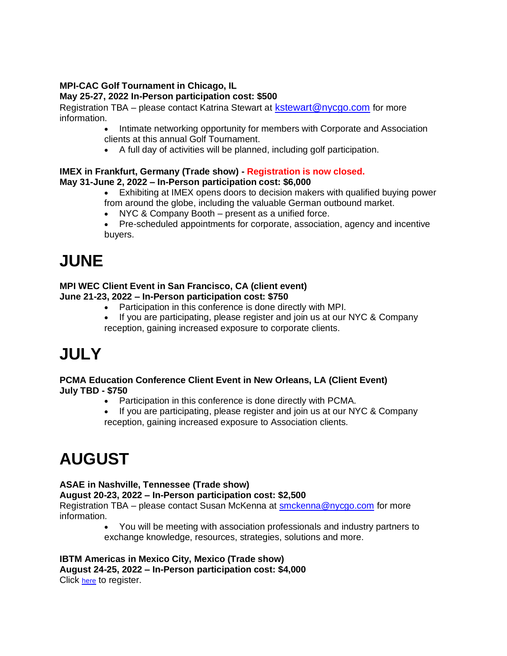#### **MPI-CAC Golf Tournament in Chicago, IL May 25-27, 2022 In-Person participation cost: \$500**

Registration TBA – please contact Katrina Stewart at [kstewart@nycgo.com](mailto:kstewart@nycgo.com) for more information.

- Intimate networking opportunity for members with Corporate and Association clients at this annual Golf Tournament.
- A full day of activities will be planned, including golf participation.

### **IMEX in Frankfurt, Germany (Trade show) - Registration is now closed. May 31-June 2, 2022 – In-Person participation cost: \$6,000**

- Exhibiting at IMEX opens doors to decision makers with qualified buying power from around the globe, including the valuable German outbound market.
- NYC & Company Booth present as a unified force.
- Pre-scheduled appointments for corporate, association, agency and incentive buyers.

# **JUNE**

### **MPI WEC Client Event in San Francisco, CA (client event)**

**June 21-23, 2022 – In-Person participation cost: \$750**

- Participation in this conference is done directly with MPI.
- If you are participating, please register and join us at our NYC & Company reception, gaining increased exposure to corporate clients.

# **JULY**

### **PCMA Education Conference Client Event in New Orleans, LA (Client Event) July TBD - \$750**

- Participation in this conference is done directly with PCMA.
- If you are participating, please register and join us at our NYC & Company reception, gaining increased exposure to Association clients.

# **AUGUST**

### **ASAE in Nashville, Tennessee (Trade show)**

### **August 20-23, 2022 – In-Person participation cost: \$2,500**

Registration TBA – please contact Susan McKenna at [smckenna@nycgo.com](mailto:smckenna@nycgo.com) for more information.

• You will be meeting with association professionals and industry partners to exchange knowledge, resources, strategies, solutions and more.

#### **IBTM Americas in Mexico City, Mexico (Trade show) August 24-25, 2022 – In-Person participation cost: \$4,000** Click [here](http://newyorkcity.simpleviewinc.com/rsvp/?action=details&noredirect=1&eventId=1387) to register.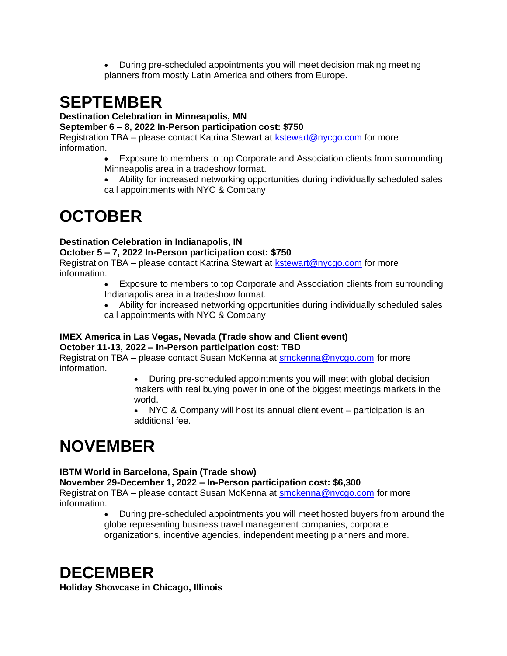• During pre-scheduled appointments you will meet decision making meeting planners from mostly Latin America and others from Europe.

# **SEPTEMBER**

### **Destination Celebration in Minneapolis, MN**

### **September 6 – 8, 2022 In-Person participation cost: \$750**

Registration TBA – please contact Katrina Stewart at [kstewart@nycgo.com](mailto:kstewart@nycgo.com) for more information.

- Exposure to members to top Corporate and Association clients from surrounding Minneapolis area in a tradeshow format.
- Ability for increased networking opportunities during individually scheduled sales call appointments with NYC & Company

# **OCTOBER**

### **Destination Celebration in Indianapolis, IN**

### **October 5 – 7, 2022 In-Person participation cost: \$750**

Registration TBA – please contact Katrina Stewart at [kstewart@nycgo.com](mailto:kstewart@nycgo.com) for more information.

- Exposure to members to top Corporate and Association clients from surrounding Indianapolis area in a tradeshow format.
- Ability for increased networking opportunities during individually scheduled sales call appointments with NYC & Company

#### **IMEX America in Las Vegas, Nevada (Trade show and Client event) October 11-13, 2022 – In-Person participation cost: TBD**

Registration TBA – please contact Susan McKenna at [smckenna@nycgo.com](mailto:smckenna@nycgo.com) for more information.

> • During pre-scheduled appointments you will meet with global decision makers with real buying power in one of the biggest meetings markets in the world.

NYC & Company will host its annual client event – participation is an additional fee.

# **NOVEMBER**

### **IBTM World in Barcelona, Spain (Trade show)**

### **November 29-December 1, 2022 – In-Person participation cost: \$6,300**

Registration TBA – please contact Susan McKenna at [smckenna@nycgo.com](mailto:smckenna@nycgo.com) for more information.

• During pre-scheduled appointments you will meet hosted buyers from around the globe representing business travel management companies, corporate organizations, incentive agencies, independent meeting planners and more.

## **DECEMBER**

**Holiday Showcase in Chicago, Illinois**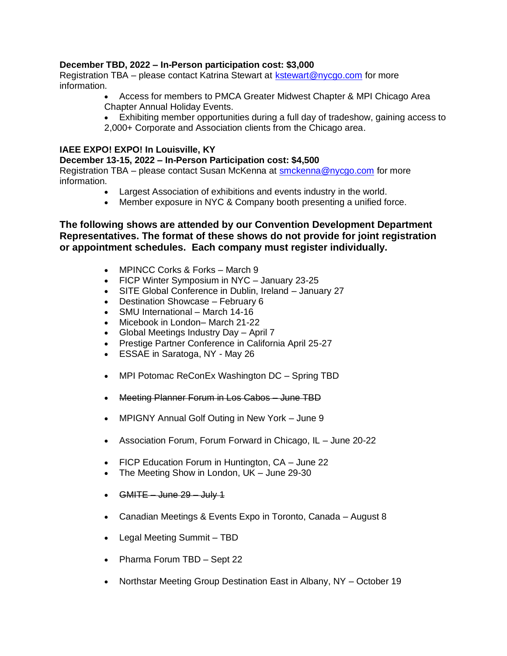### **December TBD, 2022 – In-Person participation cost: \$3,000**

Registration TBA – please contact Katrina Stewart at [kstewart@nycgo.com](mailto:kstewart@nycgo.com) for more information.

- Access for members to PMCA Greater Midwest Chapter & MPI Chicago Area Chapter Annual Holiday Events.
- Exhibiting member opportunities during a full day of tradeshow, gaining access to 2,000+ Corporate and Association clients from the Chicago area.

#### **IAEE EXPO! EXPO! In Louisville, KY**

#### **December 13-15, 2022 – In-Person Participation cost: \$4,500**

Registration TBA – please contact Susan McKenna at [smckenna@nycgo.com](mailto:smckenna@nycgo.com) for more information.

- Largest Association of exhibitions and events industry in the world.
- Member exposure in NYC & Company booth presenting a unified force.

### **The following shows are attended by our Convention Development Department Representatives. The format of these shows do not provide for joint registration or appointment schedules. Each company must register individually.**

- MPINCC Corks & Forks March 9
- FICP Winter Symposium in NYC January 23-25
- SITE Global Conference in Dublin, Ireland January 27
- Destination Showcase February 6
- SMU International March 14-16
- Micebook in London– March 21-22
- Global Meetings Industry Day April 7
- Prestige Partner Conference in California April 25-27
- ESSAE in Saratoga, NY May 26
- MPI Potomac ReConEx Washington DC Spring TBD
- Meeting Planner Forum in Los Cabos June TBD
- MPIGNY Annual Golf Outing in New York June 9
- Association Forum, Forum Forward in Chicago, IL June 20-22
- FICP Education Forum in Huntington, CA June 22
- The Meeting Show in London, UK June 29-30
- GMITE June 29 July 1
- Canadian Meetings & Events Expo in Toronto, Canada August 8
- Legal Meeting Summit TBD
- Pharma Forum TBD Sept 22
- Northstar Meeting Group Destination East in Albany, NY October 19